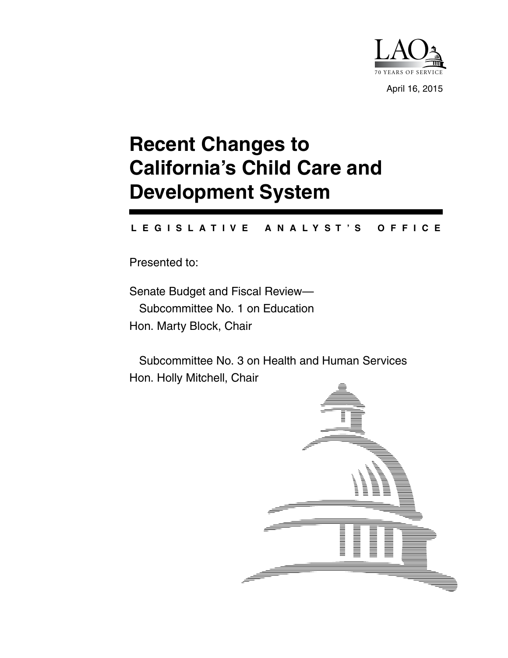

April 16, 2015

# **Recent Changes to California's Child Care and Development System**

#### **L E G I S L A T I V E A N A L Y S T ' S O F F I C E**

Presented to:

Senate Budget and Fiscal Review— Subcommittee No. 1 on Education Hon. Marty Block, Chair

 Subcommittee No. 3 on Health and Human Services Hon. Holly Mitchell, Chair

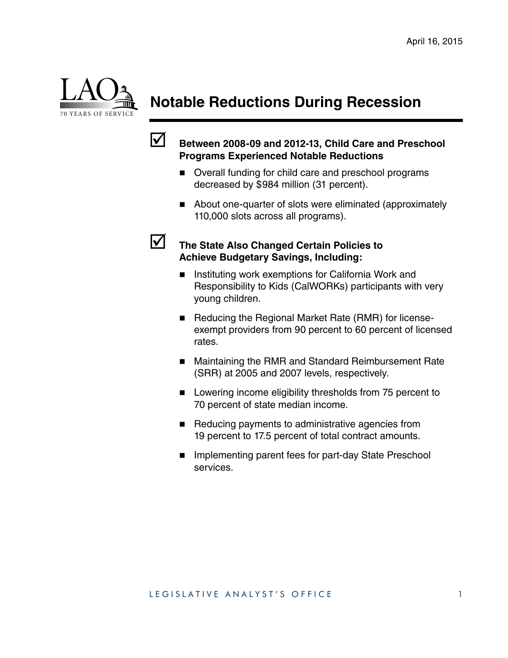

# **Notable Reductions During Recession**



#### ; **Between 2008-09 and 2012-13, Child Care and Preschool Programs Experienced Notable Reductions**

- Overall funding for child care and preschool programs decreased by \$984 million (31 percent).
- About one-quarter of slots were eliminated (approximately 110,000 slots across all programs).



#### **12 The State Also Changed Certain Policies to Achieve Budgetary Savings, Including:**

- Instituting work exemptions for California Work and Responsibility to Kids (CalWORKs) participants with very young children.
- Reducing the Regional Market Rate (RMR) for licenseexempt providers from 90 percent to 60 percent of licensed rates.
- Maintaining the RMR and Standard Reimbursement Rate (SRR) at 2005 and 2007 levels, respectively.
- **Lowering income eligibility thresholds from 75 percent to** 70 percent of state median income.
- Reducing payments to administrative agencies from 19 percent to 17.5 percent of total contract amounts.
- **Implementing parent fees for part-day State Preschool** services.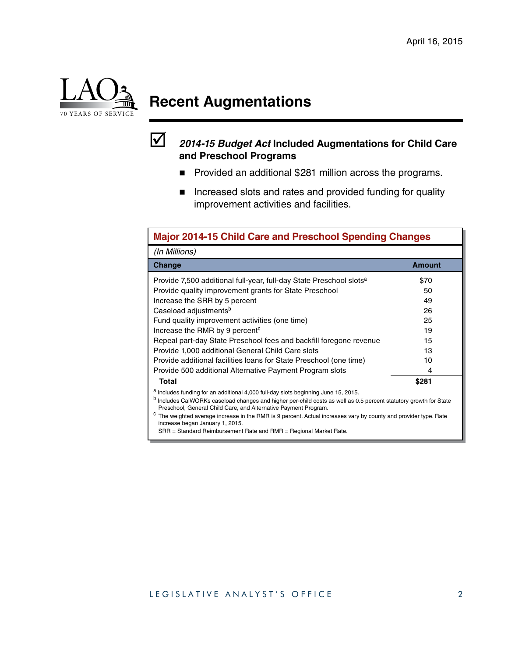

# **Recent Augmentations**



#### ; *2014-15 Budget Act* **Included Augmentations for Child Care and Preschool Programs**

- **Provided an additional \$281 million across the programs.**
- **Increased slots and rates and provided funding for quality** improvement activities and facilities.

| <b>Major 2014-15 Child Care and Preschool Spending Changes</b>                                                                                                                                                                                                                                                                                                                                                                                                                                                  |               |  |
|-----------------------------------------------------------------------------------------------------------------------------------------------------------------------------------------------------------------------------------------------------------------------------------------------------------------------------------------------------------------------------------------------------------------------------------------------------------------------------------------------------------------|---------------|--|
| (In Millions)                                                                                                                                                                                                                                                                                                                                                                                                                                                                                                   |               |  |
| Change                                                                                                                                                                                                                                                                                                                                                                                                                                                                                                          | <b>Amount</b> |  |
| Provide 7,500 additional full-year, full-day State Preschool slots <sup>a</sup>                                                                                                                                                                                                                                                                                                                                                                                                                                 | \$70          |  |
| Provide quality improvement grants for State Preschool                                                                                                                                                                                                                                                                                                                                                                                                                                                          | 50            |  |
| Increase the SRR by 5 percent                                                                                                                                                                                                                                                                                                                                                                                                                                                                                   | 49            |  |
| Caseload adjustments <sup>b</sup>                                                                                                                                                                                                                                                                                                                                                                                                                                                                               | 26            |  |
| Fund quality improvement activities (one time)                                                                                                                                                                                                                                                                                                                                                                                                                                                                  | 25            |  |
| Increase the RMR by 9 percent <sup>c</sup>                                                                                                                                                                                                                                                                                                                                                                                                                                                                      | 19            |  |
| Repeal part-day State Preschool fees and backfill foregone revenue                                                                                                                                                                                                                                                                                                                                                                                                                                              | 15            |  |
| Provide 1,000 additional General Child Care slots                                                                                                                                                                                                                                                                                                                                                                                                                                                               | 13            |  |
| Provide additional facilities loans for State Preschool (one time)                                                                                                                                                                                                                                                                                                                                                                                                                                              | 10            |  |
| Provide 500 additional Alternative Payment Program slots                                                                                                                                                                                                                                                                                                                                                                                                                                                        | 4             |  |
| <b>Total</b>                                                                                                                                                                                                                                                                                                                                                                                                                                                                                                    | \$281         |  |
| <sup>a</sup> Includes funding for an additional 4,000 full-day slots beginning June 15, 2015.<br>b Includes CalWORKs caseload changes and higher per-child costs as well as 0.5 percent statutory growth for State<br>Preschool, General Child Care, and Alternative Payment Program.<br>The weighted average increase in the RMR is 9 percent. Actual increases vary by county and provider type. Rate<br>increase began January 1, 2015.<br>SRR = Standard Reimbursement Rate and RMR = Regional Market Rate. |               |  |

#### LEGISLATIVE ANALYST'S OFFICE 2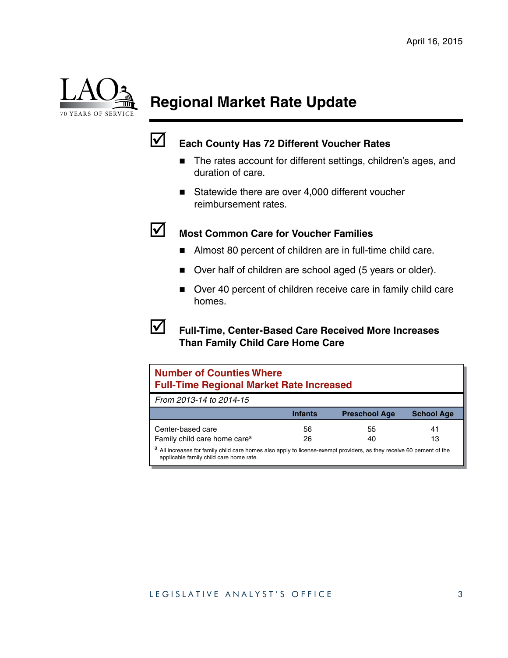

# **Regional Market Rate Update**



### ; **Each County Has 72 Different Voucher Rates**

- The rates account for different settings, children's ages, and duration of care.
- Statewide there are over 4,000 different voucher reimbursement rates.



### ; **Most Common Care for Voucher Families**

- Almost 80 percent of children are in full-time child care.
- Over half of children are school aged (5 years or older).
- Over 40 percent of children receive care in family child care homes.



#### ; **Full-Time, Center-Based Care Received More Increases Than Family Child Care Home Care**

| <b>Number of Counties Where</b><br><b>Full-Time Regional Market Rate Increased</b>                                                                             |                |                      |                   |
|----------------------------------------------------------------------------------------------------------------------------------------------------------------|----------------|----------------------|-------------------|
| From 2013-14 to 2014-15                                                                                                                                        |                |                      |                   |
|                                                                                                                                                                | <b>Infants</b> | <b>Preschool Age</b> | <b>School Age</b> |
| Center-based care                                                                                                                                              | 56             | 55                   | 41                |
| Family child care home care <sup>a</sup>                                                                                                                       | 26             | 40                   | 13                |
| All increases for family child care homes also apply to license-exempt providers, as they receive 60 percent of the<br>applicable family child care home rate. |                |                      |                   |

#### LEGISLATIVE ANALYST'S OFFICE 3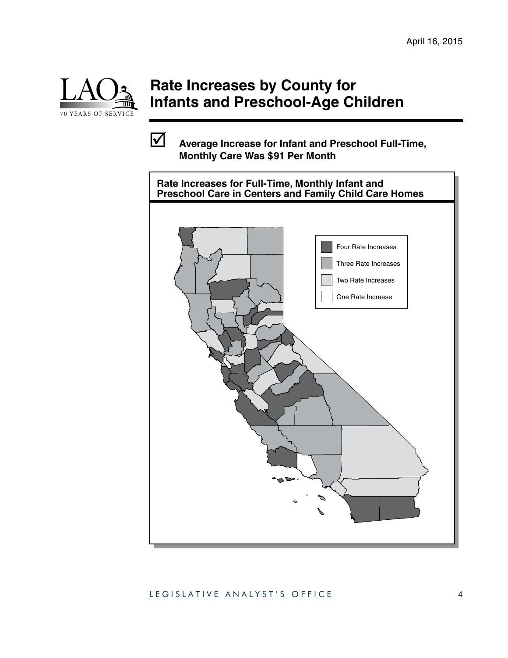*Deputy*



## **Rate Increases by County for Infants and Preschool-Age Children**

; **Average Increase for Infant and Preschool Full-Time, Monthly Care Was \$91 Per Month**

 $\mathcal{F}_\text{max}$  the  $\mathcal{F}_\text{max}$  and  $\mathcal{F}_\text{max}$  are  $\mathcal{F}_\text{max}$ 



#### LEGISLATIVE ANALYST'S OFFICE 4